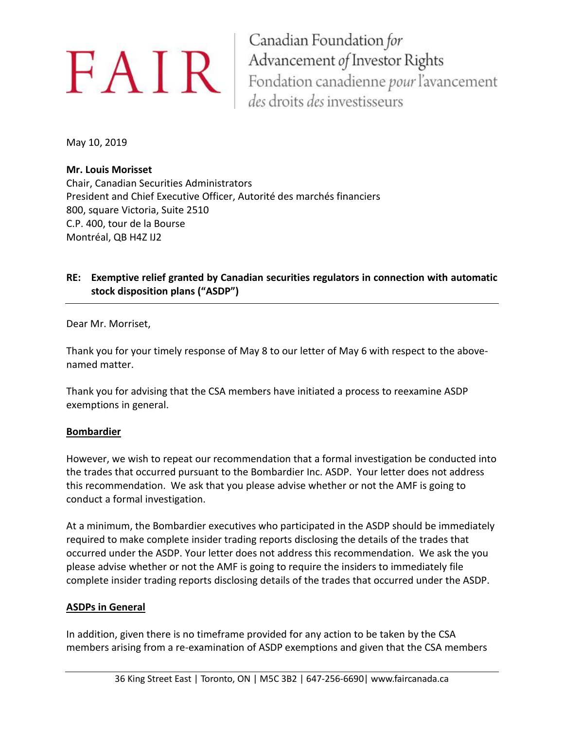Canadian Foundation for **EAIR** Canadian Foundation for<br>Fondation canadienne pour l'avancement des droits des investisseurs

May 10, 2019

### **Mr. Louis Morisset**

Chair, Canadian Securities Administrators President and Chief Executive Officer, Autorité des marchés financiers 800, square Victoria, Suite 2510 C.P. 400, tour de la Bourse Montréal, QB H4Z IJ2

## **RE: Exemptive relief granted by Canadian securities regulators in connection with automatic stock disposition plans ("ASDP")**

Dear Mr. Morriset,

Thank you for your timely response of May 8 to our letter of May 6 with respect to the abovenamed matter.

Thank you for advising that the CSA members have initiated a process to reexamine ASDP exemptions in general.

#### **Bombardier**

However, we wish to repeat our recommendation that a formal investigation be conducted into the trades that occurred pursuant to the Bombardier Inc. ASDP. Your letter does not address this recommendation. We ask that you please advise whether or not the AMF is going to conduct a formal investigation.

At a minimum, the Bombardier executives who participated in the ASDP should be immediately required to make complete insider trading reports disclosing the details of the trades that occurred under the ASDP. Your letter does not address this recommendation. We ask the you please advise whether or not the AMF is going to require the insiders to immediately file complete insider trading reports disclosing details of the trades that occurred under the ASDP.

#### **ASDPs in General**

In addition, given there is no timeframe provided for any action to be taken by the CSA members arising from a re-examination of ASDP exemptions and given that the CSA members